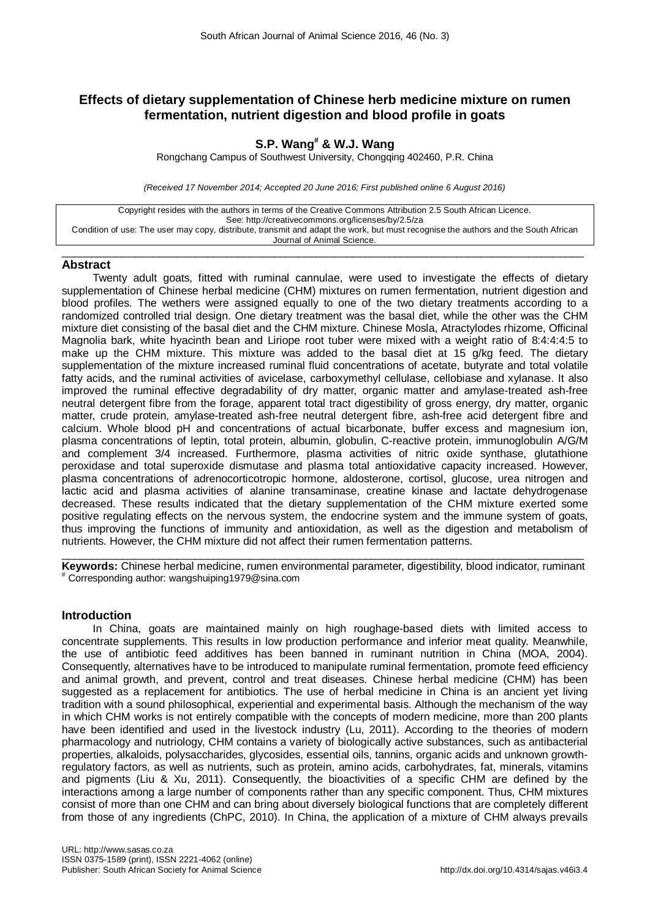# **Effects of dietary supplementation of Chinese herb medicine mixture on rumen fermentation, nutrient digestion and blood profile in goats**

# **S.P. Wang# & W.J. Wang**

Rongchang Campus of Southwest University, Chongqing 402460, P.R. China

*(Received 17 November 2014; Accepted 20 June 2016; First published online 6 August 2016)*

Copyright resides with the authors in terms of the Creative Commons Attribution 2.5 South African Licence. See: http://creativecommons.org/licenses/by/2.5/za Condition of use: The user may copy, distribute, transmit and adapt the work, but must recognise the authors and the South African Journal of Animal Science.

### $\_$  ,  $\_$  ,  $\_$  ,  $\_$  ,  $\_$  ,  $\_$  ,  $\_$  ,  $\_$  ,  $\_$  ,  $\_$  ,  $\_$  ,  $\_$  ,  $\_$  ,  $\_$  ,  $\_$  ,  $\_$  ,  $\_$  ,  $\_$  ,  $\_$  ,  $\_$  ,  $\_$  ,  $\_$  ,  $\_$  ,  $\_$  ,  $\_$  ,  $\_$  ,  $\_$  ,  $\_$  ,  $\_$  ,  $\_$  ,  $\_$  ,  $\_$  ,  $\_$  ,  $\_$  ,  $\_$  ,  $\_$  ,  $\_$  , **Abstract**

Twenty adult goats, fitted with ruminal cannulae, were used to investigate the effects of dietary supplementation of Chinese herbal medicine (CHM) mixtures on rumen fermentation, nutrient digestion and blood profiles. The wethers were assigned equally to one of the two dietary treatments according to a randomized controlled trial design. One dietary treatment was the basal diet, while the other was the CHM mixture diet consisting of the basal diet and the CHM mixture. Chinese Mosla, Atractylodes rhizome, Officinal Magnolia bark, white hyacinth bean and Liriope root tuber were mixed with a weight ratio of 8:4:4:4:5 to make up the CHM mixture. This mixture was added to the basal diet at 15 g/kg feed. The dietary supplementation of the mixture increased ruminal fluid concentrations of acetate, butyrate and total volatile fatty acids, and the ruminal activities of avicelase, carboxymethyl cellulase, cellobiase and xylanase. It also improved the ruminal effective degradability of dry matter, organic matter and amylase-treated ash-free neutral detergent fibre from the forage, apparent total tract digestibility of gross energy, dry matter, organic matter, crude protein, amylase-treated ash-free neutral detergent fibre, ash-free acid detergent fibre and calcium. Whole blood pH and concentrations of actual bicarbonate, buffer excess and magnesium ion, plasma concentrations of leptin, total protein, albumin, globulin, C-reactive protein, immunoglobulin A/G/M and complement 3/4 increased. Furthermore, plasma activities of nitric oxide synthase, glutathione peroxidase and total superoxide dismutase and plasma total antioxidative capacity increased. However, plasma concentrations of adrenocorticotropic hormone, aldosterone, cortisol, glucose, urea nitrogen and lactic acid and plasma activities of alanine transaminase, creatine kinase and lactate dehydrogenase decreased. These results indicated that the dietary supplementation of the CHM mixture exerted some positive regulating effects on the nervous system, the endocrine system and the immune system of goats, thus improving the functions of immunity and antioxidation, as well as the digestion and metabolism of nutrients. However, the CHM mixture did not affect their rumen fermentation patterns.

 $\_$  ,  $\_$  ,  $\_$  ,  $\_$  ,  $\_$  ,  $\_$  ,  $\_$  ,  $\_$  ,  $\_$  ,  $\_$  ,  $\_$  ,  $\_$  ,  $\_$  ,  $\_$  ,  $\_$  ,  $\_$  ,  $\_$  ,  $\_$  ,  $\_$  ,  $\_$  ,  $\_$  ,  $\_$  ,  $\_$  ,  $\_$  ,  $\_$  ,  $\_$  ,  $\_$  ,  $\_$  ,  $\_$  ,  $\_$  ,  $\_$  ,  $\_$  ,  $\_$  ,  $\_$  ,  $\_$  ,  $\_$  ,  $\_$  , **Keywords:** Chinese herbal medicine, rumen environmental parameter, digestibility, blood indicator, ruminant # Corresponding author: wangshuiping1979@sina.com

# **Introduction**

In China, goats are maintained mainly on high roughage-based diets with limited access to concentrate supplements. This results in low production performance and inferior meat quality. Meanwhile, the use of antibiotic feed additives has been banned in ruminant nutrition in China (MOA, 2004). Consequently, alternatives have to be introduced to manipulate ruminal fermentation, promote feed efficiency and animal growth, and prevent, control and treat diseases. Chinese herbal medicine (CHM) has been suggested as a replacement for antibiotics. The use of herbal medicine in China is an ancient yet living tradition with a sound philosophical, experiential and experimental basis. Although the mechanism of the way in which CHM works is not entirely compatible with the concepts of modern medicine, more than 200 plants have been identified and used in the livestock industry (Lu, 2011). According to the theories of modern pharmacology and nutriology, CHM contains a variety of biologically active substances, such as antibacterial properties, alkaloids, polysaccharides, glycosides, essential oils, tannins, organic acids and unknown growthregulatory factors, as well as nutrients, such as protein, amino acids, carbohydrates, fat, minerals, vitamins and pigments (Liu & Xu, 2011). Consequently, the bioactivities of a specific CHM are defined by the interactions among a large number of components rather than any specific component. Thus, CHM mixtures consist of more than one CHM and can bring about diversely biological functions that are completely different from those of any ingredients (ChPC, 2010). In China, the application of a mixture of CHM always prevails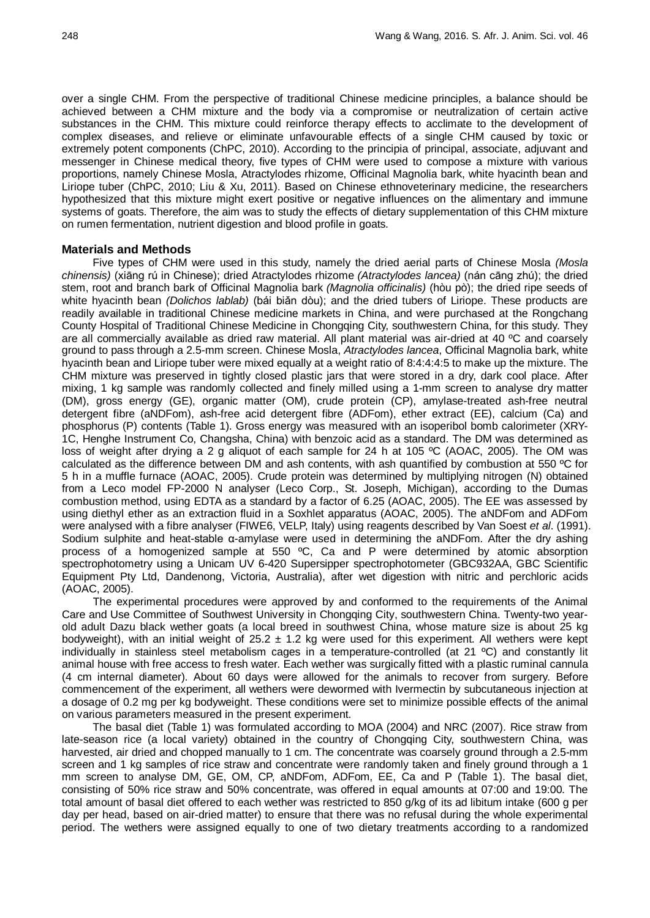over a single CHM. From the perspective of traditional Chinese medicine principles, a balance should be achieved between a CHM mixture and the body via a compromise or neutralization of certain active substances in the CHM. This mixture could reinforce therapy effects to acclimate to the development of complex diseases, and relieve or eliminate unfavourable effects of a single CHM caused by toxic or extremely potent components (ChPC, 2010). According to the principia of principal, associate, adjuvant and messenger in Chinese medical theory, five types of CHM were used to compose a mixture with various proportions, namely Chinese Mosla, Atractylodes rhizome, Officinal Magnolia bark, white hyacinth bean and Liriope tuber (ChPC, 2010; Liu & Xu, 2011). Based on Chinese ethnoveterinary medicine, the researchers hypothesized that this mixture might exert positive or negative influences on the alimentary and immune systems of goats. Therefore, the aim was to study the effects of dietary supplementation of this CHM mixture on rumen fermentation, nutrient digestion and blood profile in goats.

### **Materials and Methods**

Five types of CHM were used in this study, namely the dried aerial parts of Chinese Mosla *(Mosla chinensis)* (xiāng rú in Chinese); dried Atractylodes rhizome *(Atractylodes lancea)* (nán cāng zhú); the dried stem, root and branch bark of Officinal Magnolia bark *(Magnolia officinalis)* (hòu pò); the dried ripe seeds of white hyacinth bean *(Dolichos lablab)* (bái biǎn dòu); and the dried tubers of Liriope. These products are readily available in traditional Chinese medicine markets in China, and were purchased at the Rongchang County Hospital of Traditional Chinese Medicine in Chongqing City, southwestern China, for this study. They are all commercially available as dried raw material. All plant material was air-dried at 40 ºC and coarsely ground to pass through a 2.5-mm screen. Chinese Mosla, *Atractylodes lancea*, Officinal Magnolia bark, white hyacinth bean and Liriope tuber were mixed equally at a weight ratio of 8:4:4:4:5 to make up the mixture. The CHM mixture was preserved in tightly closed plastic jars that were stored in a dry, dark cool place. After mixing, 1 kg sample was randomly collected and finely milled using a 1-mm screen to analyse dry matter (DM), gross energy (GE), organic matter (OM), crude protein (CP), amylase-treated ash-free neutral detergent fibre (aNDFom), ash-free acid detergent fibre (ADFom), ether extract (EE), calcium (Ca) and phosphorus (P) contents (Table 1). Gross energy was measured with an isoperibol bomb calorimeter (XRY-1C, Henghe Instrument Co, Changsha, China) with benzoic acid as a standard. The DM was determined as loss of weight after drying a 2 g aliquot of each sample for 24 h at 105 ºC (AOAC, 2005). The OM was calculated as the difference between DM and ash contents, with ash quantified by combustion at 550 ºC for 5 h in a muffle furnace (AOAC, 2005). Crude protein was determined by multiplying nitrogen (N) obtained from a Leco model FP-2000 N analyser (Leco Corp., St. Joseph, Michigan), according to the Dumas combustion method, using EDTA as a standard by a factor of 6.25 (AOAC, 2005). The EE was assessed by using diethyl ether as an extraction fluid in a Soxhlet apparatus (AOAC, 2005). The aNDFom and ADFom were analysed with a fibre analyser (FIWE6, VELP, Italy) using reagents described by Van Soest *et al*. (1991). Sodium sulphite and heat-stable α-amylase were used in determining the aNDFom. After the dry ashing process of a homogenized sample at 550 ºC, Ca and P were determined by atomic absorption spectrophotometry using a Unicam UV 6-420 Supersipper spectrophotometer (GBC932AA, GBC Scientific Equipment Pty Ltd, Dandenong, Victoria, Australia), after wet digestion with nitric and perchloric acids (AOAC, 2005).

The experimental procedures were approved by and conformed to the requirements of the Animal Care and Use Committee of Southwest University in Chongqing City, southwestern China. Twenty-two yearold adult Dazu black wether goats (a local breed in southwest China, whose mature size is about 25 kg bodyweight), with an initial weight of  $25.2 \pm 1.2$  kg were used for this experiment. All wethers were kept individually in stainless steel metabolism cages in a temperature-controlled (at 21 ºC) and constantly lit animal house with free access to fresh water. Each wether was surgically fitted with a plastic ruminal cannula (4 cm internal diameter). About 60 days were allowed for the animals to recover from surgery. Before commencement of the experiment, all wethers were dewormed with Ivermectin by subcutaneous injection at a dosage of 0.2 mg per kg bodyweight. These conditions were set to minimize possible effects of the animal on various parameters measured in the present experiment.

The basal diet (Table 1) was formulated according to MOA (2004) and NRC (2007). Rice straw from late-season rice (a local variety) obtained in the country of Chongqing City, southwestern China, was harvested, air dried and chopped manually to 1 cm. The concentrate was coarsely ground through a 2.5-mm screen and 1 kg samples of rice straw and concentrate were randomly taken and finely ground through a 1 mm screen to analyse DM, GE, OM, CP, aNDFom, ADFom, EE, Ca and P (Table 1). The basal diet, consisting of 50% rice straw and 50% concentrate, was offered in equal amounts at 07:00 and 19:00. The total amount of basal diet offered to each wether was restricted to 850 g/kg of its ad libitum intake (600 g per day per head, based on air-dried matter) to ensure that there was no refusal during the whole experimental period. The wethers were assigned equally to one of two dietary treatments according to a randomized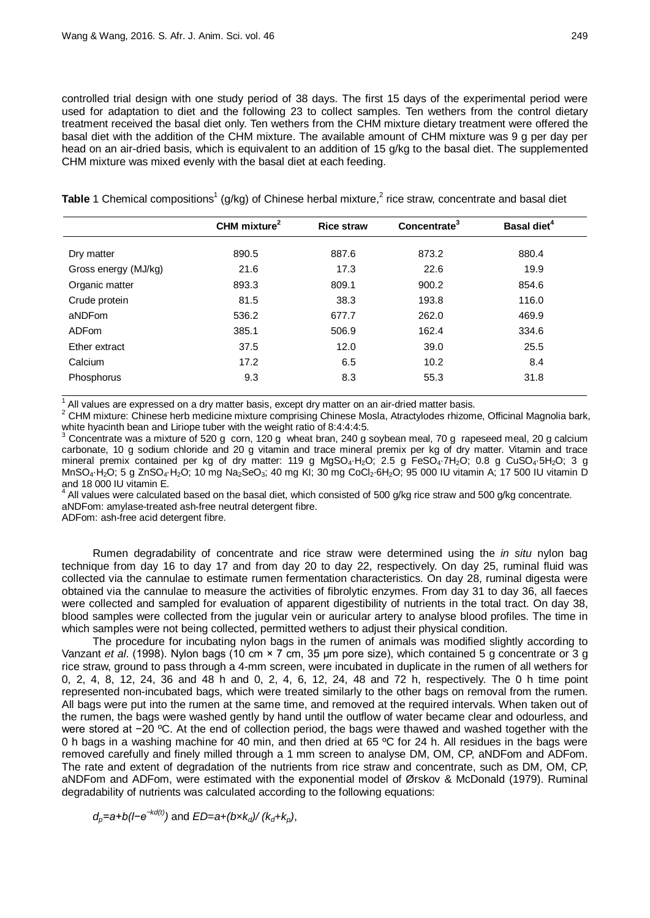controlled trial design with one study period of 38 days. The first 15 days of the experimental period were used for adaptation to diet and the following 23 to collect samples. Ten wethers from the control dietary treatment received the basal diet only. Ten wethers from the CHM mixture dietary treatment were offered the basal diet with the addition of the CHM mixture. The available amount of CHM mixture was 9 g per day per head on an air-dried basis, which is equivalent to an addition of 15 g/kg to the basal diet. The supplemented CHM mixture was mixed evenly with the basal diet at each feeding.

Table 1 Chemical compositions<sup>1</sup> (g/kg) of Chinese herbal mixture,<sup>2</sup> rice straw, concentrate and basal diet

|                      | CHM mixture <sup>2</sup> | <b>Rice straw</b> | Concentrate <sup>3</sup> | Basal diet <sup>4</sup> |
|----------------------|--------------------------|-------------------|--------------------------|-------------------------|
| Dry matter           | 890.5                    | 887.6             | 873.2                    | 880.4                   |
| Gross energy (MJ/kg) | 21.6                     | 17.3              | 22.6                     | 19.9                    |
| Organic matter       | 893.3                    | 809.1             | 900.2                    | 854.6                   |
| Crude protein        | 81.5                     | 38.3              | 193.8                    | 116.0                   |
| aNDFom               | 536.2                    | 677.7             | 262.0                    | 469.9                   |
| <b>ADFom</b>         | 385.1                    | 506.9             | 162.4                    | 334.6                   |
| Ether extract        | 37.5                     | 12.0              | 39.0                     | 25.5                    |
| Calcium              | 17.2                     | 6.5               | 10.2                     | 8.4                     |
| Phosphorus           | 9.3                      | 8.3               | 55.3                     | 31.8                    |

<sup>1</sup> All values are expressed on a dry matter basis, except dry matter on an air-dried matter basis.<br><sup>2</sup> CHM mixture: Chinese herb medicine mixture comprising Chinese Mosla, Atractylodes rhizome, Officinal Magnolia bark, w

Concentrate was a mixture of 520 g corn, 120 g wheat bran, 240 g soybean meal, 70 g rapeseed meal, 20 g calcium carbonate, 10 g sodium chloride and 20 g vitamin and trace mineral premix per kg of dry matter. Vitamin and trace mineral premix contained per kg of dry matter: 119 g MgSO<sub>4</sub>⋅H<sub>2</sub>O; 2.5 g FeSO<sub>4</sub>⋅7H<sub>2</sub>O; 0.8 g CuSO<sub>4</sub>⋅5H<sub>2</sub>O; 3 g MnSO<sub>4</sub>⋅H<sub>2</sub>O; 5 g ZnSO<sub>4</sub>⋅H<sub>2</sub>O; 10 mg Na<sub>2</sub>SeO<sub>3</sub>; 40 mg KI; 30 mg CoCl<sub>2</sub>⋅6H<sub>2</sub>O; 95 000 IU vitamin A; 17 500 IU vitamin D<br>and 18 000 IU vitamin E.

and 18 000 IU mannim E. 18 mannim E. 4 All values which consisted of 500 g/kg rice straw and 500 g/kg concentrate. aNDFom: amylase-treated ash-free neutral detergent fibre.

ADFom: ash-free acid detergent fibre.

Rumen degradability of concentrate and rice straw were determined using the *in situ* nylon bag technique from day 16 to day 17 and from day 20 to day 22, respectively. On day 25, ruminal fluid was collected via the cannulae to estimate rumen fermentation characteristics. On day 28, ruminal digesta were obtained via the cannulae to measure the activities of fibrolytic enzymes. From day 31 to day 36, all faeces were collected and sampled for evaluation of apparent digestibility of nutrients in the total tract. On day 38, blood samples were collected from the jugular vein or auricular artery to analyse blood profiles. The time in which samples were not being collected, permitted wethers to adjust their physical condition.

The procedure for incubating nylon bags in the rumen of animals was modified slightly according to Vanzant *et al*. (1998). Nylon bags (10 cm × 7 cm, 35 μm pore size), which contained 5 g concentrate or 3 g rice straw, ground to pass through a 4-mm screen, were incubated in duplicate in the rumen of all wethers for 0, 2, 4, 8, 12, 24, 36 and 48 h and 0, 2, 4, 6, 12, 24, 48 and 72 h, respectively. The 0 h time point represented non-incubated bags, which were treated similarly to the other bags on removal from the rumen. All bags were put into the rumen at the same time, and removed at the required intervals. When taken out of the rumen, the bags were washed gently by hand until the outflow of water became clear and odourless, and were stored at −20 °C. At the end of collection period, the bags were thawed and washed together with the 0 h bags in a washing machine for 40 min, and then dried at 65 °C for 24 h. All residues in the bags were removed carefully and finely milled through a 1 mm screen to analyse DM, OM, CP, aNDFom and ADFom. The rate and extent of degradation of the nutrients from rice straw and concentrate, such as DM, OM, CP, aNDFom and ADFom, were estimated with the exponential model of Ørskov & McDonald (1979). Ruminal degradability of nutrients was calculated according to the following equations:

$$
d_p
$$
=a+b( $I-e^{-kd(t)}$ ) and  $ED$ =a+(bx $k_d$ )/( $k_d$ + $k_p$ ),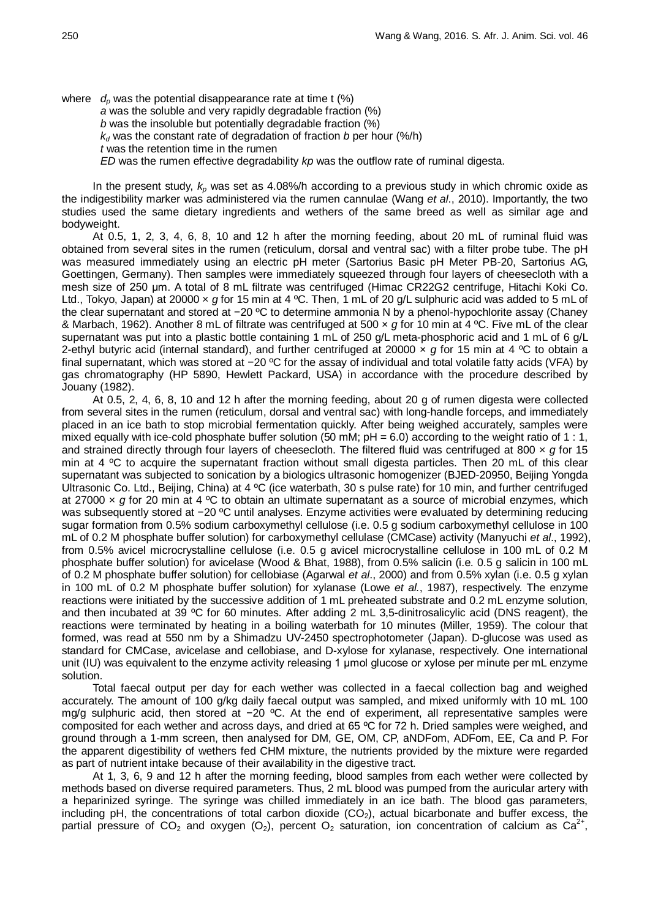where  $d_p$  was the potential disappearance rate at time t  $(\%)$ *a* was the soluble and very rapidly degradable fraction (%) *b* was the insoluble but potentially degradable fraction (%)  $k_d$  was the constant rate of degradation of fraction *b* per hour (%/h) *t* was the retention time in the rumen *ED* was the rumen effective degradability *kp* was the outflow rate of ruminal digesta.

In the present study,  $k_p$  was set as 4.08%/h according to a previous study in which chromic oxide as the indigestibility marker was administered via the rumen cannulae (Wang *et al*., 2010). Importantly, the two studies used the same dietary ingredients and wethers of the same breed as well as similar age and bodyweight.

At 0.5, 1, 2, 3, 4, 6, 8, 10 and 12 h after the morning feeding, about 20 mL of ruminal fluid was obtained from several sites in the rumen (reticulum, dorsal and ventral sac) with a filter probe tube. The pH was measured immediately using an electric pH meter (Sartorius Basic pH Meter PB-20, Sartorius AG, Goettingen, Germany). Then samples were immediately squeezed through four layers of cheesecloth with a mesh size of 250 μm. A total of 8 mL filtrate was centrifuged (Himac CR22G2 centrifuge, Hitachi Koki Co. Ltd., Tokyo, Japan) at 20000 x *g* for 15 min at 4 °C. Then, 1 mL of 20 g/L sulphuric acid was added to 5 mL of the clear supernatant and stored at −20 ºC to determine ammonia N by a phenol-hypochlorite assay (Chaney & Marbach, 1962). Another 8 mL of filtrate was centrifuged at 500 × *g* for 10 min at 4 ºC. Five mL of the clear supernatant was put into a plastic bottle containing 1 mL of 250 g/L meta-phosphoric acid and 1 mL of 6 g/L 2-ethyl butyric acid (internal standard), and further centrifuged at 20000 × *g* for 15 min at 4 ºC to obtain a final supernatant, which was stored at −20 ºC for the assay of individual and total volatile fatty acids (VFA) by gas chromatography (HP 5890, Hewlett Packard, USA) in accordance with the procedure described by Jouany (1982).

At 0.5, 2, 4, 6, 8, 10 and 12 h after the morning feeding, about 20 g of rumen digesta were collected from several sites in the rumen (reticulum, dorsal and ventral sac) with long-handle forceps, and immediately placed in an ice bath to stop microbial fermentation quickly. After being weighed accurately, samples were mixed equally with ice-cold phosphate buffer solution (50 mM;  $pH = 6.0$ ) according to the weight ratio of 1 : 1, and strained directly through four layers of cheesecloth. The filtered fluid was centrifuged at 800 × *g* for 15 min at 4 °C to acquire the supernatant fraction without small digesta particles. Then 20 mL of this clear supernatant was subjected to sonication by a biologics ultrasonic homogenizer (BJED-20950, Beijing Yongda Ultrasonic Co. Ltd., Beijing, China) at 4 ºC (ice waterbath, 30 s pulse rate) for 10 min, and further centrifuged at 27000 × *g* for 20 min at 4 ºC to obtain an ultimate supernatant as a source of microbial enzymes, which was subsequently stored at −20 °C until analyses. Enzyme activities were evaluated by determining reducing sugar formation from 0.5% sodium carboxymethyl cellulose (i.e. 0.5 g sodium carboxymethyl cellulose in 100 mL of 0.2 M phosphate buffer solution) for carboxymethyl cellulase (CMCase) activity (Manyuchi *et al*., 1992), from 0.5% avicel microcrystalline cellulose (i.e. 0.5 g avicel microcrystalline cellulose in 100 mL of 0.2 M phosphate buffer solution) for avicelase (Wood & Bhat, 1988), from 0.5% salicin (i.e. 0.5 g salicin in 100 mL of 0.2 M phosphate buffer solution) for cellobiase (Agarwal *et al*., 2000) and from 0.5% xylan (i.e. 0.5 g xylan in 100 mL of 0.2 M phosphate buffer solution) for xylanase (Lowe *et al.*, 1987), respectively. The enzyme reactions were initiated by the successive addition of 1 mL preheated substrate and 0.2 mL enzyme solution, and then incubated at 39 ºC for 60 minutes. After adding 2 mL 3,5-dinitrosalicylic acid (DNS reagent), the reactions were terminated by heating in a boiling waterbath for 10 minutes (Miller, 1959). The colour that formed, was read at 550 nm by a Shimadzu UV-2450 spectrophotometer (Japan). D-glucose was used as standard for CMCase, avicelase and cellobiase, and D-xylose for xylanase, respectively. One international unit (IU) was equivalent to the enzyme activity releasing 1 μmol glucose or xylose per minute per mL enzyme solution.

Total faecal output per day for each wether was collected in a faecal collection bag and weighed accurately. The amount of 100 g/kg daily faecal output was sampled, and mixed uniformly with 10 mL 100 mg/g sulphuric acid, then stored at −20 °C. At the end of experiment, all representative samples were composited for each wether and across days, and dried at 65 ºC for 72 h. Dried samples were weighed, and ground through a 1-mm screen, then analysed for DM, GE, OM, CP, aNDFom, ADFom, EE, Ca and P. For the apparent digestibility of wethers fed CHM mixture, the nutrients provided by the mixture were regarded as part of nutrient intake because of their availability in the digestive tract.

At 1, 3, 6, 9 and 12 h after the morning feeding, blood samples from each wether were collected by methods based on diverse required parameters. Thus, 2 mL blood was pumped from the auricular artery with a heparinized syringe. The syringe was chilled immediately in an ice bath. The blood gas parameters, including pH, the concentrations of total carbon dioxide  $(CO<sub>2</sub>)$ , actual bicarbonate and buffer excess, the partial pressure of  $CO_2$  and oxygen (O<sub>2</sub>), percent O<sub>2</sub> saturation, ion concentration of calcium as  $Ca^{2+}$ ,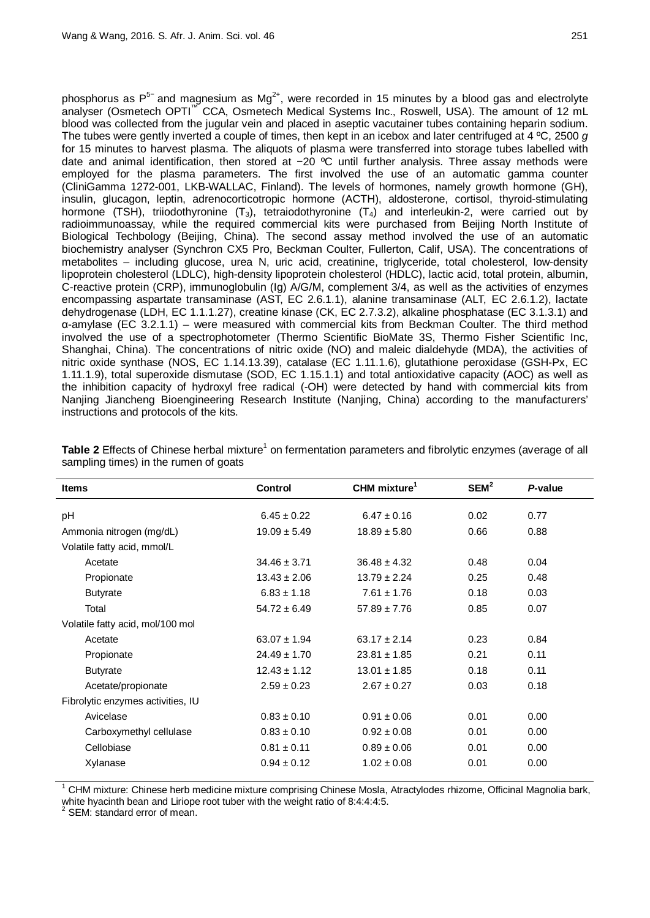phosphorus as  $P^{5-}$  and magnesium as Mg<sup>2+</sup>, were recorded in 15 minutes by a blood gas and electrolyte analyser (Osmetech OPTI<sup>™</sup> CCA, Osmetech Medical Systems Inc., Roswell, USA). The amount of 12 mL blood was collected from the jugular vein and placed in aseptic vacutainer tubes containing heparin sodium. The tubes were gently inverted a couple of times, then kept in an icebox and later centrifuged at 4 ºC, 2500 *g* for 15 minutes to harvest plasma. The aliquots of plasma were transferred into storage tubes labelled with date and animal identification, then stored at −20 ºC until further analysis. Three assay methods were employed for the plasma parameters. The first involved the use of an automatic gamma counter (CliniGamma 1272-001, LKB-WALLAC, Finland). The levels of hormones, namely growth hormone (GH), insulin, glucagon, leptin, adrenocorticotropic hormone (ACTH), aldosterone, cortisol, thyroid-stimulating hormone (TSH), triiodothyronine  $(T_3)$ , tetraiodothyronine  $(T_4)$  and interleukin-2, were carried out by radioimmunoassay, while the required commercial kits were purchased from Beijing North Institute of Biological Techbology (Beijing, China). The second assay method involved the use of an automatic biochemistry analyser (Synchron CX5 Pro, Beckman Coulter, Fullerton, Calif, USA). The concentrations of metabolites – including glucose, urea N, uric acid, creatinine, triglyceride, total cholesterol, low-density lipoprotein cholesterol (LDLC), high-density lipoprotein cholesterol (HDLC), lactic acid, total protein, albumin, C-reactive protein (CRP), immunoglobulin (Ig) A/G/M, complement 3/4, as well as the activities of enzymes encompassing aspartate transaminase (AST, EC 2.6.1.1), alanine transaminase (ALT, EC 2.6.1.2), lactate dehydrogenase (LDH, EC 1.1.1.27), creatine kinase (CK, EC 2.7.3.2), alkaline phosphatase (EC 3.1.3.1) and α-amylase (EC 3.2.1.1) – were measured with commercial kits from Beckman Coulter. The third method involved the use of a spectrophotometer (Thermo Scientific BioMate 3S, Thermo Fisher Scientific Inc, Shanghai, China). The concentrations of nitric oxide (NO) and maleic dialdehyde (MDA), the activities of nitric oxide synthase (NOS, EC 1.14.13.39), catalase (EC 1.11.1.6), glutathione peroxidase (GSH-Px, EC 1.11.1.9), total superoxide dismutase (SOD, EC 1.15.1.1) and total antioxidative capacity (AOC) as well as the inhibition capacity of hydroxyl free radical (-OH) were detected by hand with commercial kits from Nanjing Jiancheng Bioengineering Research Institute (Nanjing, China) according to the manufacturers' instructions and protocols of the kits.

| <b>Items</b>                      | <b>Control</b>   | CHM mixture <sup>1</sup> | SEM <sup>2</sup> | P-value |
|-----------------------------------|------------------|--------------------------|------------------|---------|
| pH                                | $6.45 \pm 0.22$  | $6.47 \pm 0.16$          | 0.02             | 0.77    |
| Ammonia nitrogen (mg/dL)          | $19.09 \pm 5.49$ | $18.89 \pm 5.80$         | 0.66             | 0.88    |
| Volatile fatty acid, mmol/L       |                  |                          |                  |         |
| Acetate                           | $34.46 \pm 3.71$ | $36.48 \pm 4.32$         | 0.48             | 0.04    |
| Propionate                        | $13.43 \pm 2.06$ | $13.79 \pm 2.24$         | 0.25             | 0.48    |
| <b>Butyrate</b>                   | $6.83 \pm 1.18$  | $7.61 \pm 1.76$          | 0.18             | 0.03    |
| Total                             | $54.72 \pm 6.49$ | $57.89 \pm 7.76$         | 0.85             | 0.07    |
| Volatile fatty acid, mol/100 mol  |                  |                          |                  |         |
| Acetate                           | $63.07 \pm 1.94$ | $63.17 \pm 2.14$         | 0.23             | 0.84    |
| Propionate                        | $24.49 \pm 1.70$ | $23.81 \pm 1.85$         | 0.21             | 0.11    |
| <b>Butyrate</b>                   | $12.43 \pm 1.12$ | $13.01 \pm 1.85$         | 0.18             | 0.11    |
| Acetate/propionate                | $2.59 \pm 0.23$  | $2.67 \pm 0.27$          | 0.03             | 0.18    |
| Fibrolytic enzymes activities, IU |                  |                          |                  |         |
| Avicelase                         | $0.83 \pm 0.10$  | $0.91 \pm 0.06$          | 0.01             | 0.00    |
| Carboxymethyl cellulase           | $0.83 \pm 0.10$  | $0.92 \pm 0.08$          | 0.01             | 0.00    |
| Cellobiase                        | $0.81 \pm 0.11$  | $0.89 \pm 0.06$          | 0.01             | 0.00    |
| Xylanase                          | $0.94 \pm 0.12$  | $1.02 \pm 0.08$          | 0.01             | 0.00    |
|                                   |                  |                          |                  |         |

**Table 2** Effects of Chinese herbal mixture<sup>1</sup> on fermentation parameters and fibrolytic enzymes (average of all sampling times) in the rumen of goats

<sup>1</sup> CHM mixture: Chinese herb medicine mixture comprising Chinese Mosla, Atractylodes rhizome, Officinal Magnolia bark, white hyacinth bean and Liriope root tuber with the weight ratio of 8:4:4:4:5.<br><sup>2</sup> SEM: standard error of mean.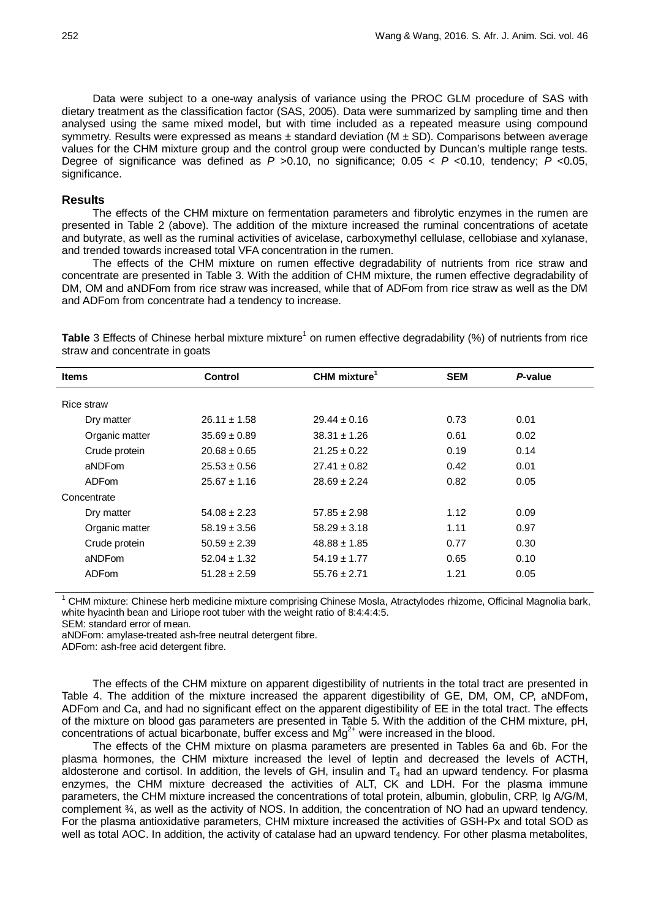Data were subject to a one-way analysis of variance using the PROC GLM procedure of SAS with dietary treatment as the classification factor (SAS, 2005). Data were summarized by sampling time and then analysed using the same mixed model, but with time included as a repeated measure using compound symmetry. Results were expressed as means  $\pm$  standard deviation (M  $\pm$  SD). Comparisons between average values for the CHM mixture group and the control group were conducted by Duncan's multiple range tests. Degree of significance was defined as  $P > 0.10$ , no significance;  $0.05 < P < 0.10$ , tendency;  $\overline{P} < 0.05$ , significance.

# **Results**

The effects of the CHM mixture on fermentation parameters and fibrolytic enzymes in the rumen are presented in Table 2 (above). The addition of the mixture increased the ruminal concentrations of acetate and butyrate, as well as the ruminal activities of avicelase, carboxymethyl cellulase, cellobiase and xylanase, and trended towards increased total VFA concentration in the rumen.

The effects of the CHM mixture on rumen effective degradability of nutrients from rice straw and concentrate are presented in Table 3. With the addition of CHM mixture, the rumen effective degradability of DM, OM and aNDFom from rice straw was increased, while that of ADFom from rice straw as well as the DM and ADFom from concentrate had a tendency to increase.

**Table** 3 Effects of Chinese herbal mixture mixture<sup>1</sup> on rumen effective degradability (%) of nutrients from rice straw and concentrate in goats

| <b>Items</b>   | Control          | CHM mixture <sup>1</sup> | <b>SEM</b> | P-value |  |
|----------------|------------------|--------------------------|------------|---------|--|
| Rice straw     |                  |                          |            |         |  |
| Dry matter     | $26.11 \pm 1.58$ | $29.44 \pm 0.16$         | 0.73       | 0.01    |  |
| Organic matter | $35.69 \pm 0.89$ | $38.31 \pm 1.26$         | 0.61       | 0.02    |  |
| Crude protein  | $20.68 \pm 0.65$ | $21.25 \pm 0.22$         | 0.19       | 0.14    |  |
| aNDFom         | $25.53 \pm 0.56$ | $27.41 \pm 0.82$         | 0.42       | 0.01    |  |
| ADFom          | $25.67 \pm 1.16$ | $28.69 \pm 2.24$         | 0.82       | 0.05    |  |
| Concentrate    |                  |                          |            |         |  |
| Dry matter     | $54.08 \pm 2.23$ | $57.85 \pm 2.98$         | 1.12       | 0.09    |  |
| Organic matter | $58.19 \pm 3.56$ | $58.29 \pm 3.18$         | 1.11       | 0.97    |  |
| Crude protein  | $50.59 \pm 2.39$ | $48.88 \pm 1.85$         | 0.77       | 0.30    |  |
| aNDFom         | $52.04 \pm 1.32$ | $54.19 \pm 1.77$         | 0.65       | 0.10    |  |
| <b>ADFom</b>   | $51.28 \pm 2.59$ | $55.76 \pm 2.71$         | 1.21       | 0.05    |  |

<sup>1</sup> CHM mixture: Chinese herb medicine mixture comprising Chinese Mosla, Atractylodes rhizome, Officinal Magnolia bark, white hyacinth bean and Liriope root tuber with the weight ratio of 8:4:4:4:5.

SEM: standard error of mean.

aNDFom: amylase-treated ash-free neutral detergent fibre.

ADFom: ash-free acid detergent fibre.

The effects of the CHM mixture on apparent digestibility of nutrients in the total tract are presented in Table 4. The addition of the mixture increased the apparent digestibility of GE, DM, OM, CP, aNDFom, ADFom and Ca, and had no significant effect on the apparent digestibility of EE in the total tract. The effects of the mixture on blood gas parameters are presented in Table 5. With the addition of the CHM mixture, pH, concentrations of actual bicarbonate, buffer excess and  $Mg^{2+}$  were increased in the blood.

The effects of the CHM mixture on plasma parameters are presented in Tables 6a and 6b. For the plasma hormones, the CHM mixture increased the level of leptin and decreased the levels of ACTH, aldosterone and cortisol. In addition, the levels of GH, insulin and  $T_4$  had an upward tendency. For plasma enzymes, the CHM mixture decreased the activities of ALT, CK and LDH. For the plasma immune parameters, the CHM mixture increased the concentrations of total protein, albumin, globulin, CRP, Ig A/G/M, complement  $\frac{3}{4}$ , as well as the activity of NOS. In addition, the concentration of NO had an upward tendency. For the plasma antioxidative parameters, CHM mixture increased the activities of GSH-Px and total SOD as well as total AOC. In addition, the activity of catalase had an upward tendency. For other plasma metabolites,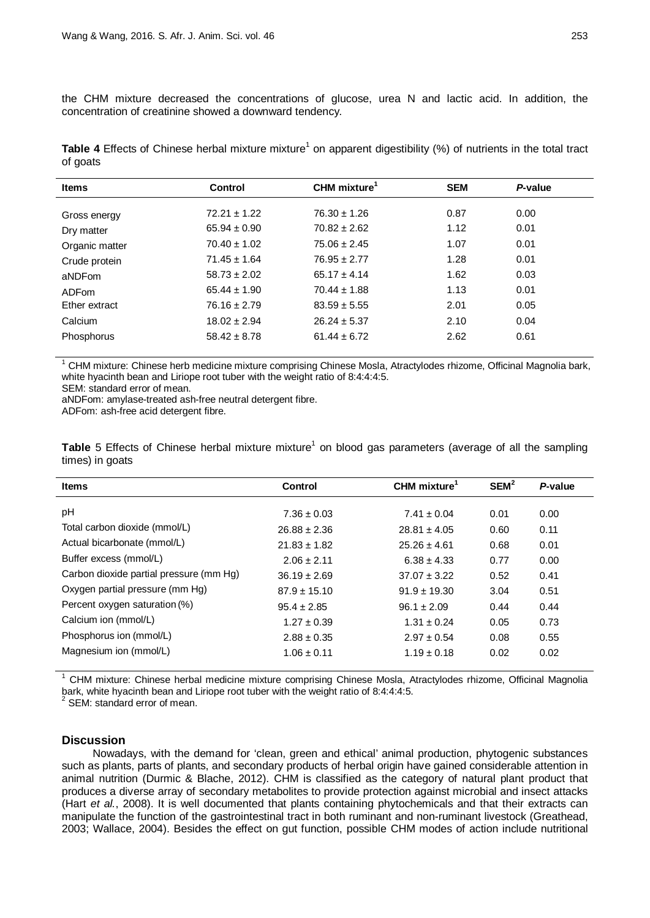the CHM mixture decreased the concentrations of glucose, urea N and lactic acid. In addition, the concentration of creatinine showed a downward tendency.

**Table 4** Effects of Chinese herbal mixture mixture<sup>1</sup> on apparent digestibility (%) of nutrients in the total tract of goats

| <b>Items</b>      | Control          | CHM mixture <sup>1</sup> | <b>SEM</b> | P-value |  |
|-------------------|------------------|--------------------------|------------|---------|--|
| Gross energy      | $72.21 + 1.22$   | $76.30 \pm 1.26$         | 0.87       | 0.00    |  |
| Dry matter        | $65.94 \pm 0.90$ | $70.82 \pm 2.62$         | 1.12       | 0.01    |  |
| Organic matter    | $70.40 \pm 1.02$ | $75.06 \pm 2.45$         | 1.07       | 0.01    |  |
| Crude protein     | $71.45 \pm 1.64$ | $76.95 \pm 2.77$         | 1.28       | 0.01    |  |
| aNDFom            | $58.73 \pm 2.02$ | $65.17 \pm 4.14$         | 1.62       | 0.03    |  |
| ADF <sub>om</sub> | $65.44 \pm 1.90$ | $70.44 \pm 1.88$         | 1.13       | 0.01    |  |
| Ether extract     | $76.16 \pm 2.79$ | $83.59 \pm 5.55$         | 2.01       | 0.05    |  |
| Calcium           | $18.02 \pm 2.94$ | $26.24 \pm 5.37$         | 2.10       | 0.04    |  |
| Phosphorus        | $58.42 \pm 8.78$ | $61.44 \pm 6.72$         | 2.62       | 0.61    |  |
|                   |                  |                          |            |         |  |

<sup>1</sup> CHM mixture: Chinese herb medicine mixture comprising Chinese Mosla, Atractylodes rhizome, Officinal Magnolia bark, white hyacinth bean and Liriope root tuber with the weight ratio of 8:4:4:4:5.

SEM: standard error of mean.

aNDFom: amylase-treated ash-free neutral detergent fibre.

ADFom: ash-free acid detergent fibre.

**Table** 5 Effects of Chinese herbal mixture mixture<sup>1</sup> on blood gas parameters (average of all the sampling times) in goats

| <b>Items</b>                            | Control          | CHM mixture <sup>1</sup> | SEM <sup>2</sup> | P-value |
|-----------------------------------------|------------------|--------------------------|------------------|---------|
| pH                                      | $7.36 \pm 0.03$  | $7.41 \pm 0.04$          | 0.01             | 0.00    |
| Total carbon dioxide (mmol/L)           | $26.88 \pm 2.36$ | $28.81 \pm 4.05$         | 0.60             | 0.11    |
| Actual bicarbonate (mmol/L)             | $21.83 \pm 1.82$ | $25.26 \pm 4.61$         | 0.68             | 0.01    |
| Buffer excess (mmol/L)                  | $2.06 \pm 2.11$  | $6.38 \pm 4.33$          | 0.77             | 0.00    |
| Carbon dioxide partial pressure (mm Hg) | $36.19 \pm 2.69$ | $37.07 \pm 3.22$         | 0.52             | 0.41    |
| Oxygen partial pressure (mm Hg)         | $87.9 \pm 15.10$ | $91.9 \pm 19.30$         | 3.04             | 0.51    |
| Percent oxygen saturation (%)           | $95.4 \pm 2.85$  | $96.1 \pm 2.09$          | 0.44             | 0.44    |
| Calcium ion (mmol/L)                    | $1.27 \pm 0.39$  | $1.31 \pm 0.24$          | 0.05             | 0.73    |
| Phosphorus ion (mmol/L)                 | $2.88 \pm 0.35$  | $2.97 \pm 0.54$          | 0.08             | 0.55    |
| Magnesium ion (mmol/L)                  | $1.06 \pm 0.11$  | $1.19 \pm 0.18$          | 0.02             | 0.02    |

<sup>1</sup> CHM mixture: Chinese herbal medicine mixture comprising Chinese Mosla, Atractylodes rhizome, Officinal Magnolia bark, white hyacinth bean and Liriope root tuber with the weight ratio of 8:4:4:4:5.<br><sup>2</sup> SEM: standard error of mean.

# **Discussion**

Nowadays, with the demand for 'clean, green and ethical' animal production, phytogenic substances such as plants, parts of plants, and secondary products of herbal origin have gained considerable attention in animal nutrition (Durmic & Blache, 2012). CHM is classified as the category of natural plant product that produces a diverse array of secondary metabolites to provide protection against microbial and insect attacks (Hart *et al.*, 2008). It is well documented that plants containing phytochemicals and that their extracts can manipulate the function of the gastrointestinal tract in both ruminant and non-ruminant livestock (Greathead, 2003; Wallace, 2004). Besides the effect on gut function, possible CHM modes of action include nutritional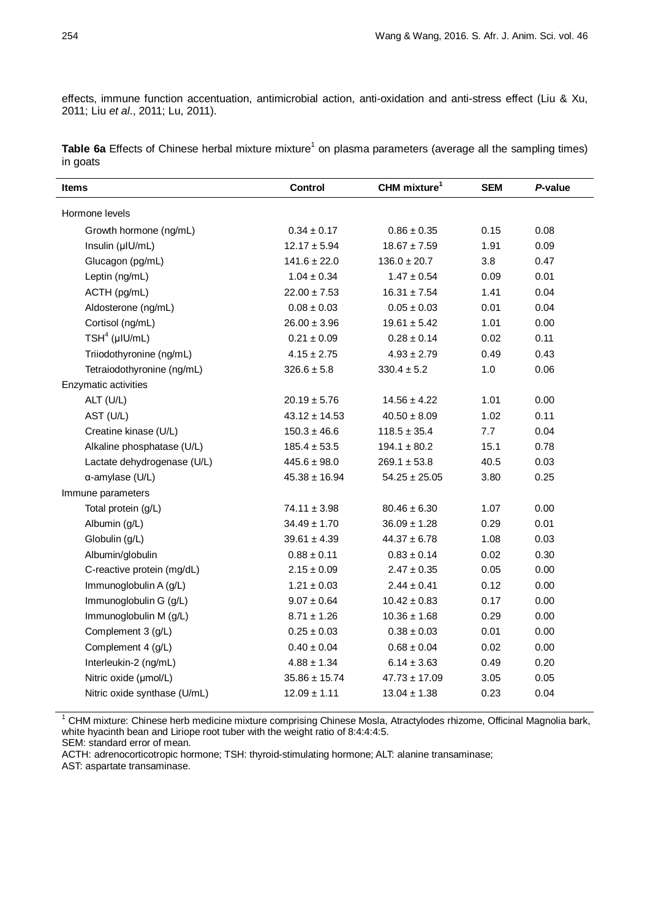effects, immune function accentuation, antimicrobial action, anti-oxidation and anti-stress effect (Liu & Xu, 2011; Liu *et al*., 2011; Lu, 2011).

**Table 6a** Effects of Chinese herbal mixture mixture<sup>1</sup> on plasma parameters (average all the sampling times) in goats

| <b>Items</b>                 | Control           | CHM mixture <sup>1</sup> | <b>SEM</b> | P-value |
|------------------------------|-------------------|--------------------------|------------|---------|
| Hormone levels               |                   |                          |            |         |
| Growth hormone (ng/mL)       | $0.34 \pm 0.17$   | $0.86 \pm 0.35$          | 0.15       | 0.08    |
| Insulin (µIU/mL)             | $12.17 \pm 5.94$  | $18.67 \pm 7.59$         | 1.91       | 0.09    |
| Glucagon (pg/mL)             | $141.6 \pm 22.0$  | $136.0 \pm 20.7$         | 3.8        | 0.47    |
| Leptin (ng/mL)               | $1.04 \pm 0.34$   | $1.47 \pm 0.54$          | 0.09       | 0.01    |
| ACTH (pg/mL)                 | $22.00 \pm 7.53$  | $16.31 \pm 7.54$         | 1.41       | 0.04    |
| Aldosterone (ng/mL)          | $0.08 \pm 0.03$   | $0.05 \pm 0.03$          | 0.01       | 0.04    |
| Cortisol (ng/mL)             | $26.00 \pm 3.96$  | $19.61 \pm 5.42$         | 1.01       | 0.00    |
| $TSH4$ (µIU/mL)              | $0.21 \pm 0.09$   | $0.28 \pm 0.14$          | 0.02       | 0.11    |
| Triiodothyronine (ng/mL)     | $4.15 \pm 2.75$   | $4.93 \pm 2.79$          | 0.49       | 0.43    |
| Tetraiodothyronine (ng/mL)   | $326.6 \pm 5.8$   | $330.4 \pm 5.2$          | 1.0        | 0.06    |
| Enzymatic activities         |                   |                          |            |         |
| ALT (U/L)                    | $20.19 \pm 5.76$  | $14.56 \pm 4.22$         | 1.01       | 0.00    |
| AST (U/L)                    | $43.12 \pm 14.53$ | $40.50 \pm 8.09$         | 1.02       | 0.11    |
| Creatine kinase (U/L)        | $150.3 \pm 46.6$  | $118.5 \pm 35.4$         | 7.7        | 0.04    |
| Alkaline phosphatase (U/L)   | $185.4 \pm 53.5$  | $194.1 \pm 80.2$         | 15.1       | 0.78    |
| Lactate dehydrogenase (U/L)  | $445.6 \pm 98.0$  | $269.1 \pm 53.8$         | 40.5       | 0.03    |
| $\alpha$ -amylase (U/L)      | $45.38 \pm 16.94$ | $54.25 \pm 25.05$        | 3.80       | 0.25    |
| Immune parameters            |                   |                          |            |         |
| Total protein (g/L)          | $74.11 \pm 3.98$  | $80.46 \pm 6.30$         | 1.07       | 0.00    |
| Albumin (g/L)                | $34.49 \pm 1.70$  | $36.09 \pm 1.28$         | 0.29       | 0.01    |
| Globulin (g/L)               | $39.61 \pm 4.39$  | $44.37 \pm 6.78$         | 1.08       | 0.03    |
| Albumin/globulin             | $0.88 \pm 0.11$   | $0.83 \pm 0.14$          | 0.02       | 0.30    |
| C-reactive protein (mg/dL)   | $2.15 \pm 0.09$   | $2.47 \pm 0.35$          | 0.05       | 0.00    |
| Immunoglobulin A (g/L)       | $1.21 \pm 0.03$   | $2.44 \pm 0.41$          | 0.12       | 0.00    |
| Immunoglobulin G (g/L)       | $9.07 \pm 0.64$   | $10.42 \pm 0.83$         | 0.17       | 0.00    |
| Immunoglobulin M (g/L)       | $8.71 \pm 1.26$   | $10.36 \pm 1.68$         | 0.29       | 0.00    |
| Complement 3 (g/L)           | $0.25 \pm 0.03$   | $0.38 \pm 0.03$          | 0.01       | 0.00    |
| Complement 4 (g/L)           | $0.40 \pm 0.04$   | $0.68 \pm 0.04$          | 0.02       | 0.00    |
| Interleukin-2 (ng/mL)        | $4.88 \pm 1.34$   | $6.14 \pm 3.63$          | 0.49       | 0.20    |
| Nitric oxide (µmol/L)        | $35.86 \pm 15.74$ | $47.73 \pm 17.09$        | 3.05       | 0.05    |
| Nitric oxide synthase (U/mL) | $12.09 \pm 1.11$  | $13.04 \pm 1.38$         | 0.23       | 0.04    |

 $1$  CHM mixture: Chinese herb medicine mixture comprising Chinese Mosla, Atractylodes rhizome, Officinal Magnolia bark, white hyacinth bean and Liriope root tuber with the weight ratio of 8:4:4:4:5.

SEM: standard error of mean.

ACTH: adrenocorticotropic hormone; TSH: thyroid-stimulating hormone; ALT: alanine transaminase; AST: aspartate transaminase.

l,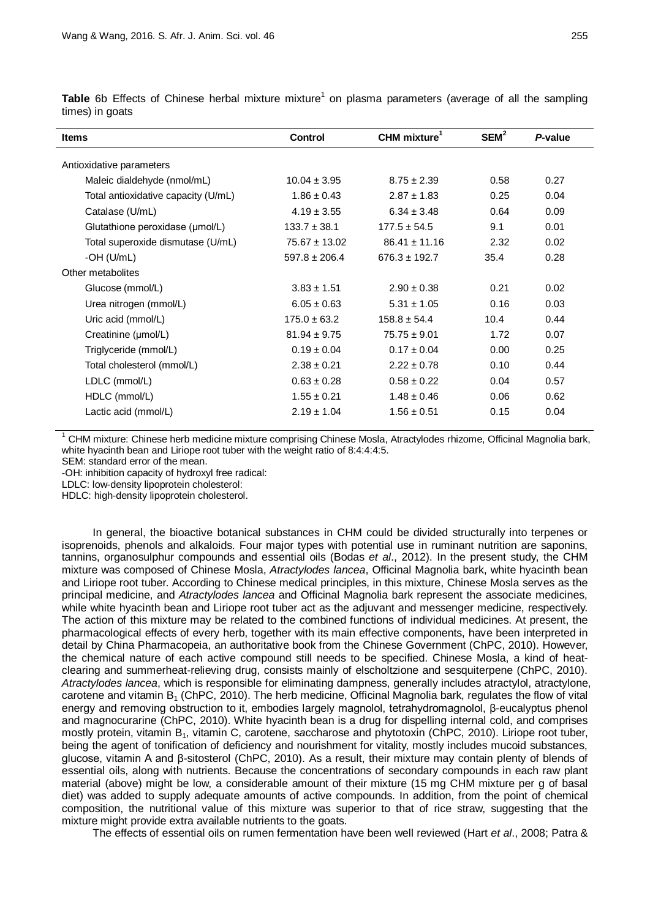| <b>Items</b>                        | <b>Control</b>    | CHM mixture <sup>1</sup> | SEM <sup>2</sup> | P-value |
|-------------------------------------|-------------------|--------------------------|------------------|---------|
| Antioxidative parameters            |                   |                          |                  |         |
| Maleic dialdehyde (nmol/mL)         | $10.04 \pm 3.95$  | $8.75 \pm 2.39$          | 0.58             | 0.27    |
| Total antioxidative capacity (U/mL) | $1.86 \pm 0.43$   | $2.87 \pm 1.83$          | 0.25             | 0.04    |
| Catalase (U/mL)                     | $4.19 \pm 3.55$   | $6.34 \pm 3.48$          | 0.64             | 0.09    |
| Glutathione peroxidase (umol/L)     | $133.7 \pm 38.1$  | $177.5 \pm 54.5$         | 9.1              | 0.01    |
| Total superoxide dismutase (U/mL)   | $75.67 \pm 13.02$ | $86.41 \pm 11.16$        | 2.32             | 0.02    |
| -OH $(U/mL)$                        | $597.8 \pm 206.4$ | $676.3 \pm 192.7$        | 35.4             | 0.28    |
| Other metabolites                   |                   |                          |                  |         |
| Glucose (mmol/L)                    | $3.83 \pm 1.51$   | $2.90 \pm 0.38$          | 0.21             | 0.02    |
| Urea nitrogen (mmol/L)              | $6.05 \pm 0.63$   | $5.31 \pm 1.05$          | 0.16             | 0.03    |
| Uric acid (mmol/L)                  | $175.0 \pm 63.2$  | $158.8 \pm 54.4$         | 10.4             | 0.44    |
| Creatinine (umol/L)                 | $81.94 \pm 9.75$  | $75.75 \pm 9.01$         | 1.72             | 0.07    |
| Triglyceride (mmol/L)               | $0.19 \pm 0.04$   | $0.17 \pm 0.04$          | 0.00             | 0.25    |
| Total cholesterol (mmol/L)          | $2.38 \pm 0.21$   | $2.22 \pm 0.78$          | 0.10             | 0.44    |
| LDLC (mmol/L)                       | $0.63 \pm 0.28$   | $0.58 \pm 0.22$          | 0.04             | 0.57    |
| HDLC (mmol/L)                       | $1.55 \pm 0.21$   | $1.48 \pm 0.46$          | 0.06             | 0.62    |
| Lactic acid (mmol/L)                | $2.19 \pm 1.04$   | $1.56 \pm 0.51$          | 0.15             | 0.04    |

**Table** 6b Effects of Chinese herbal mixture mixture<sup>1</sup> on plasma parameters (average of all the sampling times) in goats

<sup>1</sup> CHM mixture: Chinese herb medicine mixture comprising Chinese Mosla, Atractylodes rhizome, Officinal Magnolia bark, white hyacinth bean and Liriope root tuber with the weight ratio of 8:4:4:4:5.

SEM: standard error of the mean.

-OH: inhibition capacity of hydroxyl free radical:

LDLC: low-density lipoprotein cholesterol:

HDLC: high-density lipoprotein cholesterol.

In general, the bioactive botanical substances in CHM could be divided structurally into terpenes or isoprenoids, phenols and alkaloids. Four major types with potential use in ruminant nutrition are saponins, tannins, organosulphur compounds and essential oils (Bodas *et al*., 2012). In the present study, the CHM mixture was composed of Chinese Mosla, *Atractylodes lancea*, Officinal Magnolia bark, white hyacinth bean and Liriope root tuber. According to Chinese medical principles, in this mixture, Chinese Mosla serves as the principal medicine, and *Atractylodes lancea* and Officinal Magnolia bark represent the associate medicines, while white hyacinth bean and Liriope root tuber act as the adjuvant and messenger medicine, respectively. The action of this mixture may be related to the combined functions of individual medicines. At present, the pharmacological effects of every herb, together with its main effective components, have been interpreted in detail by China Pharmacopeia, an authoritative book from the Chinese Government (ChPC, 2010). However, the chemical nature of each active compound still needs to be specified. Chinese Mosla, a kind of heatclearing and summerheat-relieving drug, consists mainly of elscholtzione and sesquiterpene (ChPC, 2010). *Atractylodes lancea*, which is responsible for eliminating dampness, generally includes atractylol, atractylone, carotene and vitamin  $B_1$  (ChPC, 2010). The herb medicine, Officinal Magnolia bark, regulates the flow of vital energy and removing obstruction to it, embodies largely magnolol, tetrahydromagnolol, β-eucalyptus phenol and magnocurarine (ChPC, 2010). White hyacinth bean is a drug for dispelling internal cold, and comprises mostly protein, vitamin B<sub>1</sub>, vitamin C, carotene, saccharose and phytotoxin (ChPC, 2010). Liriope root tuber, being the agent of tonification of deficiency and nourishment for vitality, mostly includes mucoid substances, glucose, vitamin A and β-sitosterol (ChPC, 2010). As a result, their mixture may contain plenty of blends of essential oils, along with nutrients. Because the concentrations of secondary compounds in each raw plant material (above) might be low, a considerable amount of their mixture (15 mg CHM mixture per g of basal diet) was added to supply adequate amounts of active compounds. In addition, from the point of chemical composition, the nutritional value of this mixture was superior to that of rice straw, suggesting that the mixture might provide extra available nutrients to the goats.

The effects of essential oils on rumen fermentation have been well reviewed (Hart *et al*., 2008; Patra &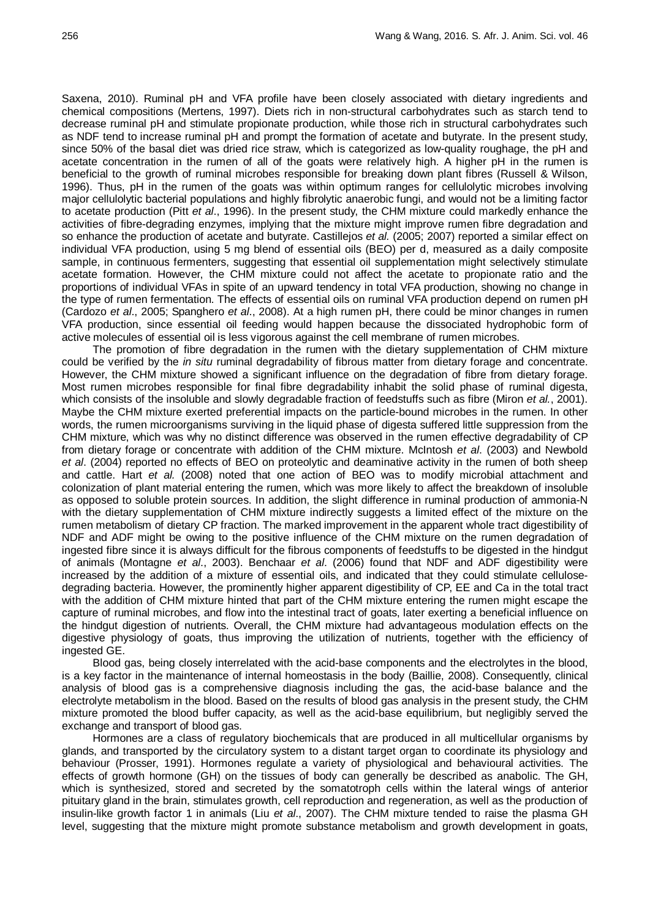Saxena, 2010). Ruminal pH and VFA profile have been closely associated with dietary ingredients and chemical compositions (Mertens, 1997). Diets rich in non-structural carbohydrates such as starch tend to decrease ruminal pH and stimulate propionate production, while those rich in structural carbohydrates such as NDF tend to increase ruminal pH and prompt the formation of acetate and butyrate. In the present study, since 50% of the basal diet was dried rice straw, which is categorized as low-quality roughage, the pH and acetate concentration in the rumen of all of the goats were relatively high. A higher pH in the rumen is beneficial to the growth of ruminal microbes responsible for breaking down plant fibres (Russell & Wilson, 1996). Thus, pH in the rumen of the goats was within optimum ranges for cellulolytic microbes involving major cellulolytic bacterial populations and highly fibrolytic anaerobic fungi, and would not be a limiting factor to acetate production (Pitt *et al*., 1996). In the present study, the CHM mixture could markedly enhance the activities of fibre-degrading enzymes, implying that the mixture might improve rumen fibre degradation and so enhance the production of acetate and butyrate. Castillejos *et al.* (2005; 2007) reported a similar effect on individual VFA production, using 5 mg blend of essential oils (BEO) per d, measured as a daily composite sample, in continuous fermenters, suggesting that essential oil supplementation might selectively stimulate acetate formation. However, the CHM mixture could not affect the acetate to propionate ratio and the proportions of individual VFAs in spite of an upward tendency in total VFA production, showing no change in the type of rumen fermentation. The effects of essential oils on ruminal VFA production depend on rumen pH (Cardozo *et al*., 2005; Spanghero *et al*., 2008). At a high rumen pH, there could be minor changes in rumen VFA production, since essential oil feeding would happen because the dissociated hydrophobic form of active molecules of essential oil is less vigorous against the cell membrane of rumen microbes.

The promotion of fibre degradation in the rumen with the dietary supplementation of CHM mixture could be verified by the *in situ* ruminal degradability of fibrous matter from dietary forage and concentrate. However, the CHM mixture showed a significant influence on the degradation of fibre from dietary forage. Most rumen microbes responsible for final fibre degradability inhabit the solid phase of ruminal digesta, which consists of the insoluble and slowly degradable fraction of feedstuffs such as fibre (Miron *et al.*, 2001). Maybe the CHM mixture exerted preferential impacts on the particle-bound microbes in the rumen. In other words, the rumen microorganisms surviving in the liquid phase of digesta suffered little suppression from the CHM mixture, which was why no distinct difference was observed in the rumen effective degradability of CP from dietary forage or concentrate with addition of the CHM mixture. McIntosh *et al*. (2003) and Newbold *et al*. (2004) reported no effects of BEO on proteolytic and deaminative activity in the rumen of both sheep and cattle. Hart *et al.* (2008) noted that one action of BEO was to modify microbial attachment and colonization of plant material entering the rumen, which was more likely to affect the breakdown of insoluble as opposed to soluble protein sources. In addition, the slight difference in ruminal production of ammonia-N with the dietary supplementation of CHM mixture indirectly suggests a limited effect of the mixture on the rumen metabolism of dietary CP fraction. The marked improvement in the apparent whole tract digestibility of NDF and ADF might be owing to the positive influence of the CHM mixture on the rumen degradation of ingested fibre since it is always difficult for the fibrous components of feedstuffs to be digested in the hindgut of animals (Montagne *et al*., 2003). Benchaar *et al*. (2006) found that NDF and ADF digestibility were increased by the addition of a mixture of essential oils, and indicated that they could stimulate cellulosedegrading bacteria. However, the prominently higher apparent digestibility of CP, EE and Ca in the total tract with the addition of CHM mixture hinted that part of the CHM mixture entering the rumen might escape the capture of ruminal microbes, and flow into the intestinal tract of goats, later exerting a beneficial influence on the hindgut digestion of nutrients. Overall, the CHM mixture had advantageous modulation effects on the digestive physiology of goats, thus improving the utilization of nutrients, together with the efficiency of ingested GE.

Blood gas, being closely interrelated with the acid-base components and the electrolytes in the blood, is a key factor in the maintenance of internal homeostasis in the body (Baillie, 2008). Consequently, clinical analysis of blood gas is a comprehensive diagnosis including the gas, the acid-base balance and the electrolyte metabolism in the blood. Based on the results of blood gas analysis in the present study, the CHM mixture promoted the blood buffer capacity, as well as the acid-base equilibrium, but negligibly served the exchange and transport of blood gas.

Hormones are a class of regulatory biochemicals that are produced in all multicellular organisms by glands, and transported by the circulatory system to a distant target organ to coordinate its physiology and behaviour (Prosser, 1991). Hormones regulate a variety of physiological and behavioural activities. The effects of growth hormone (GH) on the tissues of body can generally be described as anabolic. The GH, which is synthesized, stored and secreted by the somatotroph cells within the lateral wings of anterior pituitary gland in the brain, stimulates growth, cell reproduction and regeneration, as well as the production of insulin-like growth factor 1 in animals (Liu *et al*., 2007). The CHM mixture tended to raise the plasma GH level, suggesting that the mixture might promote substance metabolism and growth development in goats,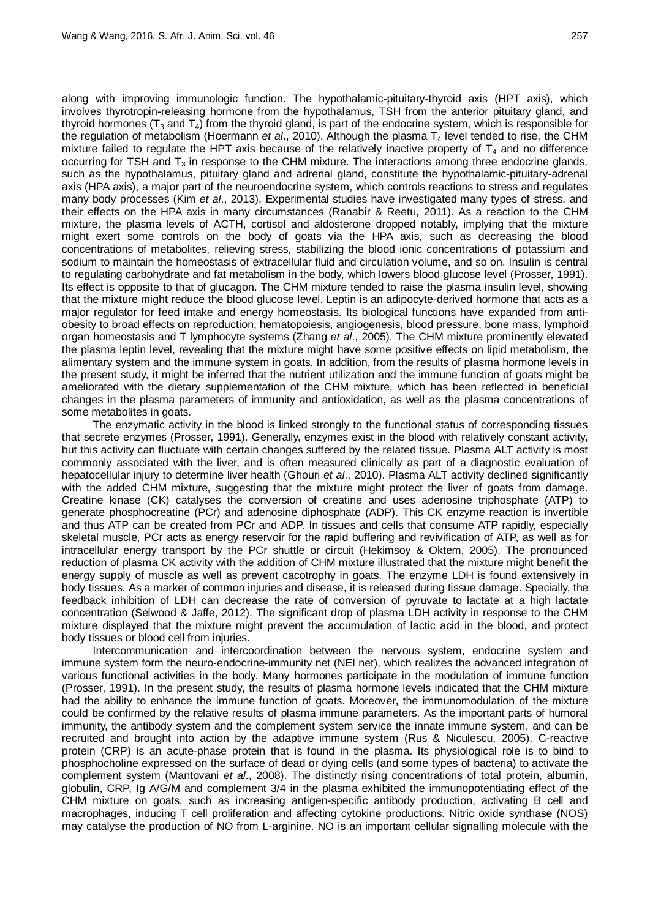along with improving immunologic function. The hypothalamic-pituitary-thyroid axis (HPT axis), which involves thyrotropin-releasing hormone from the hypothalamus, TSH from the anterior pituitary gland, and thyroid hormones ( $T_3$  and  $T_4$ ) from the thyroid gland, is part of the endocrine system, which is responsible for the regulation of metabolism (Hoermann *et al.*, 2010). Although the plasma T<sub>4</sub> level tended to rise, the CHM mixture failed to regulate the HPT axis because of the relatively inactive property of  $T<sub>4</sub>$  and no difference occurring for TSH and  $T_3$  in response to the CHM mixture. The interactions among three endocrine glands, such as the hypothalamus, pituitary gland and adrenal gland, constitute the hypothalamic-pituitary-adrenal axis (HPA axis), a major part of the neuroendocrine system, which controls reactions to stress and regulates many body processes (Kim *et al*., 2013). Experimental studies have investigated many types of stress, and their effects on the HPA axis in many circumstances (Ranabir & Reetu, 2011). As a reaction to the CHM mixture, the plasma levels of ACTH, cortisol and aldosterone dropped notably, implying that the mixture might exert some controls on the body of goats via the HPA axis, such as decreasing the blood concentrations of metabolites, relieving stress, stabilizing the blood ionic concentrations of potassium and sodium to maintain the homeostasis of extracellular fluid and circulation volume, and so on. Insulin is central to regulating carbohydrate and fat metabolism in the body, which lowers blood glucose level (Prosser, 1991). Its effect is opposite to that of glucagon. The CHM mixture tended to raise the plasma insulin level, showing that the mixture might reduce the blood glucose level. Leptin is an adipocyte-derived hormone that acts as a major regulator for feed intake and energy homeostasis. Its biological functions have expanded from antiobesity to broad effects on reproduction, hematopoiesis, angiogenesis, blood pressure, bone mass, lymphoid organ homeostasis and T lymphocyte systems (Zhang *et al*., 2005). The CHM mixture prominently elevated the plasma leptin level, revealing that the mixture might have some positive effects on lipid metabolism, the alimentary system and the immune system in goats. In addition, from the results of plasma hormone levels in the present study, it might be inferred that the nutrient utilization and the immune function of goats might be ameliorated with the dietary supplementation of the CHM mixture, which has been reflected in beneficial changes in the plasma parameters of immunity and antioxidation, as well as the plasma concentrations of some metabolites in goats.

The enzymatic activity in the blood is linked strongly to the functional status of corresponding tissues that secrete enzymes (Prosser, 1991). Generally, enzymes exist in the blood with relatively constant activity, but this activity can fluctuate with certain changes suffered by the related tissue. Plasma ALT activity is most commonly associated with the liver, and is often measured clinically as part of a diagnostic evaluation of hepatocellular injury to determine liver health (Ghouri *et al*., 2010). Plasma ALT activity declined significantly with the added CHM mixture, suggesting that the mixture might protect the liver of goats from damage. Creatine kinase (CK) catalyses the conversion of creatine and uses adenosine triphosphate (ATP) to generate phosphocreatine (PCr) and adenosine diphosphate (ADP). This CK enzyme reaction is invertible and thus ATP can be created from PCr and ADP. In tissues and cells that consume ATP rapidly, especially skeletal muscle, PCr acts as energy reservoir for the rapid buffering and revivification of ATP, as well as for intracellular energy transport by the PCr shuttle or circuit (Hekimsoy & Oktem, 2005). The pronounced reduction of plasma CK activity with the addition of CHM mixture illustrated that the mixture might benefit the energy supply of muscle as well as prevent cacotrophy in goats. The enzyme LDH is found extensively in body tissues. As a marker of common injuries and disease, it is released during tissue damage. Specially, the feedback inhibition of LDH can decrease the rate of conversion of pyruvate to lactate at a high lactate concentration (Selwood & Jaffe, 2012). The significant drop of plasma LDH activity in response to the CHM mixture displayed that the mixture might prevent the accumulation of lactic acid in the blood, and protect body tissues or blood cell from injuries.

Intercommunication and intercoordination between the nervous system, endocrine system and immune system form the neuro-endocrine-immunity net (NEI net), which realizes the advanced integration of various functional activities in the body. Many hormones participate in the modulation of immune function (Prosser, 1991). In the present study, the results of plasma hormone levels indicated that the CHM mixture had the ability to enhance the immune function of goats. Moreover, the immunomodulation of the mixture could be confirmed by the relative results of plasma immune parameters. As the important parts of humoral immunity, the antibody system and the complement system service the innate immune system, and can be recruited and brought into action by the adaptive immune system (Rus & Niculescu, 2005). C-reactive protein (CRP) is an acute-phase protein that is found in the plasma. Its physiological role is to bind to phosphocholine expressed on the surface of dead or dying cells (and some types of bacteria) to activate the complement system (Mantovani *et al*., 2008). The distinctly rising concentrations of total protein, albumin, globulin, CRP, Ig A/G/M and complement 3/4 in the plasma exhibited the immunopotentiating effect of the CHM mixture on goats, such as increasing antigen-specific antibody production, activating B cell and macrophages, inducing T cell proliferation and affecting cytokine productions. Nitric oxide synthase (NOS) may catalyse the production of NO from L-arginine. NO is an important cellular signalling molecule with the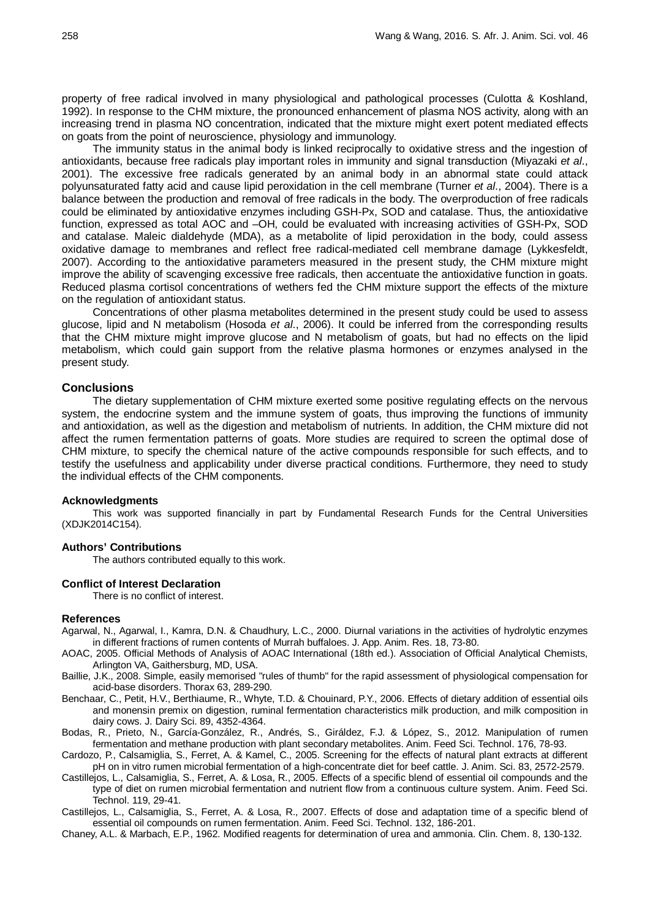property of free radical involved in many physiological and pathological processes (Culotta & Koshland, 1992). In response to the CHM mixture, the pronounced enhancement of plasma NOS activity, along with an increasing trend in plasma NO concentration, indicated that the mixture might exert potent mediated effects on goats from the point of neuroscience, physiology and immunology.

The immunity status in the animal body is linked reciprocally to oxidative stress and the ingestion of antioxidants, because free radicals play important roles in immunity and signal transduction (Miyazaki *et al*., 2001). The excessive free radicals generated by an animal body in an abnormal state could attack polyunsaturated fatty acid and cause lipid peroxidation in the cell membrane (Turner *et al*., 2004). There is a balance between the production and removal of free radicals in the body. The overproduction of free radicals could be eliminated by antioxidative enzymes including GSH-Px, SOD and catalase. Thus, the antioxidative function, expressed as total AOC and –OH, could be evaluated with increasing activities of GSH-Px, SOD and catalase. Maleic dialdehyde (MDA), as a metabolite of lipid peroxidation in the body, could assess oxidative damage to membranes and reflect free radical-mediated cell membrane damage (Lykkesfeldt, 2007). According to the antioxidative parameters measured in the present study, the CHM mixture might improve the ability of scavenging excessive free radicals, then accentuate the antioxidative function in goats. Reduced plasma cortisol concentrations of wethers fed the CHM mixture support the effects of the mixture on the regulation of antioxidant status.

Concentrations of other plasma metabolites determined in the present study could be used to assess glucose, lipid and N metabolism (Hosoda *et al*., 2006). It could be inferred from the corresponding results that the CHM mixture might improve glucose and N metabolism of goats, but had no effects on the lipid metabolism, which could gain support from the relative plasma hormones or enzymes analysed in the present study.

### **Conclusions**

The dietary supplementation of CHM mixture exerted some positive regulating effects on the nervous system, the endocrine system and the immune system of goats, thus improving the functions of immunity and antioxidation, as well as the digestion and metabolism of nutrients. In addition, the CHM mixture did not affect the rumen fermentation patterns of goats. More studies are required to screen the optimal dose of CHM mixture, to specify the chemical nature of the active compounds responsible for such effects, and to testify the usefulness and applicability under diverse practical conditions. Furthermore, they need to study the individual effects of the CHM components.

#### **Acknowledgments**

This work was supported financially in part by Fundamental Research Funds for the Central Universities (XDJK2014C154).

## **Authors' Contributions**

The authors contributed equally to this work.

#### **Conflict of Interest Declaration**

There is no conflict of interest.

#### **References**

- Agarwal, N., Agarwal, I., Kamra, D.N. & Chaudhury, L.C., 2000. Diurnal variations in the activities of hydrolytic enzymes in different fractions of rumen contents of Murrah buffaloes. J. App. Anim. Res. 18, 73-80.
- AOAC, 2005. Official Methods of Analysis of AOAC International (18th ed.). Association of Official Analytical Chemists, Arlington VA, Gaithersburg, MD, USA.
- Baillie, J.K., 2008. Simple, easily memorised "rules of thumb" for the rapid assessment of physiological compensation for acid-base disorders. Thorax 63, 289-290.
- Benchaar, C., Petit, H.V., Berthiaume, R., Whyte, T.D. & Chouinard, P.Y., 2006. Effects of dietary addition of essential oils and monensin premix on digestion, ruminal fermentation characteristics milk production, and milk composition in dairy cows. J. Dairy Sci. 89, 4352-4364.
- Bodas, R., Prieto, N., García-González, R., Andrés, S., Giráldez, F.J. & López, S., 2012. Manipulation of rumen fermentation and methane production with plant secondary metabolites. Anim. Feed Sci. Technol. 176, 78-93.
- Cardozo, P., Calsamiglia, S., Ferret, A. & Kamel, C., 2005. Screening for the effects of natural plant extracts at different pH on in vitro rumen microbial fermentation of a high-concentrate diet for beef cattle. J. Anim. Sci. 83, 2572-2579.
- Castillejos, L., Calsamiglia, S., Ferret, A. & Losa, R., 2005. Effects of a specific blend of essential oil compounds and the type of diet on rumen microbial fermentation and nutrient flow from a continuous culture system. Anim. Feed Sci. Technol. 119, 29-41.

Castillejos, L., Calsamiglia, S., Ferret, A. & Losa, R., 2007. Effects of dose and adaptation time of a specific blend of essential oil compounds on rumen fermentation. Anim. Feed Sci. Technol. 132, 186-201.

Chaney, A.L. & Marbach, E.P., 1962. Modified reagents for determination of urea and ammonia. Clin. Chem. 8, 130-132.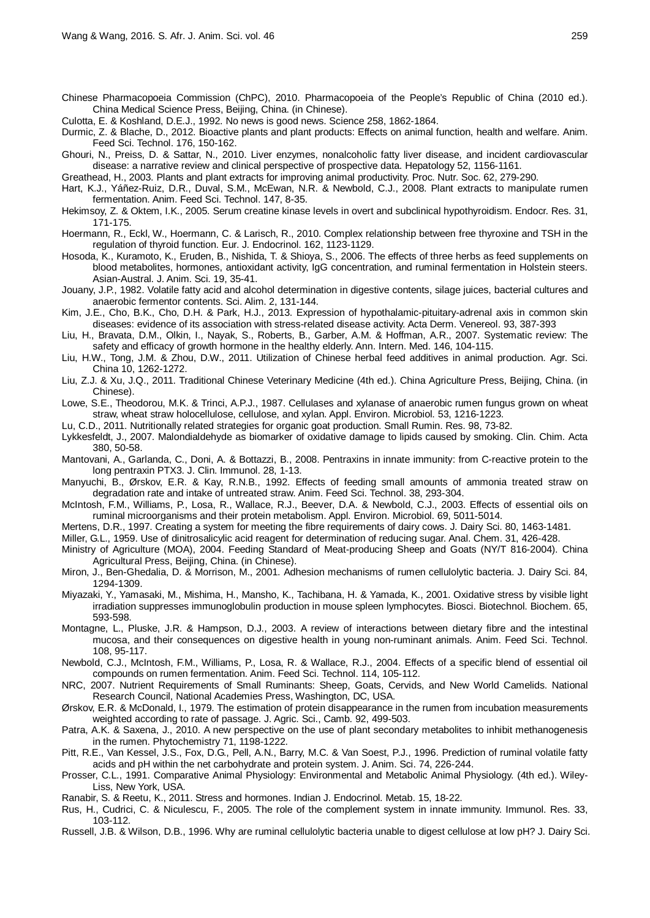- Chinese Pharmacopoeia Commission (ChPC), 2010. Pharmacopoeia of the People's Republic of China (2010 ed.). China Medical Science Press, Beijing, China. (in Chinese).
- Culotta, E. & Koshland, D.E.J., 1992. No news is good news. Science 258, 1862-1864.
- Durmic, Z. & Blache, D., 2012. Bioactive plants and plant products: Effects on animal function, health and welfare. Anim. Feed Sci. Technol. 176, 150-162.
- Ghouri, N., Preiss, D. & Sattar, N., 2010. Liver enzymes, nonalcoholic fatty liver disease, and incident cardiovascular disease: a narrative review and clinical perspective of prospective data. Hepatology 52, 1156-1161.
- Greathead, H., 2003. Plants and plant extracts for improving animal productivity. Proc. Nutr. Soc. 62, 279-290.
- Hart, K.J., Yáñez-Ruiz, D.R., Duval, S.M., McEwan, N.R. & Newbold, C.J., 2008. Plant extracts to manipulate rumen fermentation. Anim. Feed Sci. Technol. 147, 8-35.
- Hekimsoy, Z. & Oktem, I.K., 2005. Serum creatine kinase levels in overt and subclinical hypothyroidism. Endocr. Res. 31, 171-175.
- Hoermann, R., Eckl, W., Hoermann, C. & Larisch, R., 2010. Complex relationship between free thyroxine and TSH in the regulation of thyroid function. Eur. J. Endocrinol. 162, 1123-1129.
- Hosoda, K., Kuramoto, K., Eruden, B., Nishida, T. & Shioya, S., 2006. The effects of three herbs as feed supplements on blood metabolites, hormones, antioxidant activity, IgG concentration, and ruminal fermentation in Holstein steers. Asian-Austral. J. Anim. Sci. 19, 35-41.
- Jouany, J.P., 1982. Volatile fatty acid and alcohol determination in digestive contents, silage juices, bacterial cultures and anaerobic fermentor contents. Sci. Alim. 2, 131-144.
- Kim, J.E., Cho, B.K., Cho, D.H. & Park, H.J., 2013. Expression of hypothalamic-pituitary-adrenal axis in common skin diseases: evidence of its association with stress-related disease activity. Acta Derm. Venereol. 93, 387-393
- Liu, H., Bravata, D.M., Olkin, I., Nayak, S., Roberts, B., Garber, A.M. & Hoffman, A.R., 2007. Systematic review: The safety and efficacy of growth hormone in the healthy elderly. Ann. Intern. Med. 146, 104-115.
- Liu, H.W., Tong, J.M. & Zhou, D.W., 2011. Utilization of Chinese herbal feed additives in animal production. Agr. Sci. China 10, 1262-1272.
- Liu, Z.J. & Xu, J.Q., 2011. Traditional Chinese Veterinary Medicine (4th ed.). China Agriculture Press, Beijing, China. (in Chinese).
- Lowe, S.E., Theodorou, M.K. & Trinci, A.P.J., 1987. Cellulases and xylanase of anaerobic rumen fungus grown on wheat straw, wheat straw holocellulose, cellulose, and xylan. Appl. Environ. Microbiol. 53, 1216-1223.
- Lu, C.D., 2011. Nutritionally related strategies for organic goat production. Small Rumin. Res. 98, 73-82.
- Lykkesfeldt, J., 2007. Malondialdehyde as biomarker of oxidative damage to lipids caused by smoking. Clin. Chim. Acta 380, 50-58.
- Mantovani, A., Garlanda, C., Doni, A. & Bottazzi, B., 2008. Pentraxins in innate immunity: from C-reactive protein to the long pentraxin PTX3. J. Clin. Immunol. 28, 1-13.
- Manyuchi, B., Ørskov, E.R. & Kay, R.N.B., 1992. Effects of feeding small amounts of ammonia treated straw on degradation rate and intake of untreated straw. Anim. Feed Sci. Technol. 38, 293-304.
- McIntosh, F.M., Williams, P., Losa, R., Wallace, R.J., Beever, D.A. & Newbold, C.J., 2003. Effects of essential oils on ruminal microorganisms and their protein metabolism. Appl. Environ. Microbiol. 69, 5011-5014.
- Mertens, D.R., 1997. Creating a system for meeting the fibre requirements of dairy cows. J. Dairy Sci. 80, 1463-1481.

Miller, G.L., 1959. Use of dinitrosalicylic acid reagent for determination of reducing sugar. Anal. Chem. 31, 426-428.

- Ministry of Agriculture (MOA), 2004. Feeding Standard of Meat-producing Sheep and Goats (NY/T 816-2004). China Agricultural Press, Beijing, China. (in Chinese).
- Miron, J., Ben-Ghedalia, D. & Morrison, M., 2001. Adhesion mechanisms of rumen cellulolytic bacteria. J. Dairy Sci. 84, 1294-1309.
- Miyazaki, Y., Yamasaki, M., Mishima, H., Mansho, K., Tachibana, H. & Yamada, K., 2001. Oxidative stress by visible light irradiation suppresses immunoglobulin production in mouse spleen lymphocytes. Biosci. Biotechnol. Biochem. 65, 593-598.
- Montagne, L., Pluske, J.R. & Hampson, D.J., 2003. A review of interactions between dietary fibre and the intestinal mucosa, and their consequences on digestive health in young non-ruminant animals. Anim. Feed Sci. Technol. 108, 95-117.
- Newbold, C.J., McIntosh, F.M., Williams, P., Losa, R. & Wallace, R.J., 2004. Effects of a specific blend of essential oil compounds on rumen fermentation. Anim. Feed Sci. Technol. 114, 105-112.
- NRC, 2007. Nutrient Requirements of Small Ruminants: Sheep, Goats, Cervids, and New World Camelids. National Research Council, National Academies Press, Washington, DC, USA.
- Ørskov, E.R. & McDonald, I., 1979. The estimation of protein disappearance in the rumen from incubation measurements weighted according to rate of passage. J. Agric. Sci., Camb. 92, 499-503.
- Patra, A.K. & Saxena, J., 2010. A new perspective on the use of plant secondary metabolites to inhibit methanogenesis in the rumen. Phytochemistry 71, 1198-1222.
- Pitt, R.E., Van Kessel, J.S., Fox, D.G., Pell, A.N., Barry, M.C. & Van Soest, P.J., 1996. Prediction of ruminal volatile fatty acids and pH within the net carbohydrate and protein system. J. Anim. Sci. 74, 226-244.
- Prosser, C.L., 1991. Comparative Animal Physiology: Environmental and Metabolic Animal Physiology. (4th ed.). Wiley-Liss, New York, USA.
- Ranabir, S. & Reetu, K., 2011. Stress and hormones. Indian J. Endocrinol. Metab. 15, 18-22.
- Rus, H., Cudrici, C. & Niculescu, F., 2005. The role of the complement system in innate immunity. Immunol. Res. 33, 103-112.
- Russell, J.B. & Wilson, D.B., 1996. Why are ruminal cellulolytic bacteria unable to digest cellulose at low pH? J. Dairy Sci.